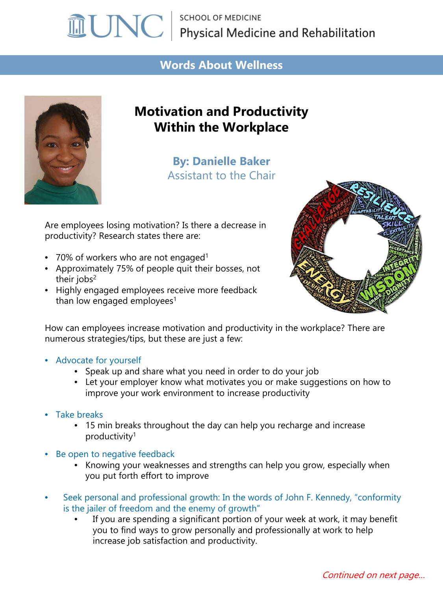# **MUNC** Physical Medicine and Rehabilitation

#### **Words About Wellness**



## **Motivation and Productivity Within the Workplace**

**By: Danielle Baker** Assistant to the Chair

Are employees losing motivation? Is there a decrease in productivity? Research states there are:

- 70% of workers who are not engaged<sup>1</sup>
- Approximately 75% of people quit their bosses, not their jobs $2$
- Highly engaged employees receive more feedback than low engaged employees<sup>1</sup>



How can employees increase motivation and productivity in the workplace? There are numerous strategies/tips, but these are just a few:

- Advocate for yourself
	- Speak up and share what you need in order to do your job
	- Let your employer know what motivates you or make suggestions on how to improve your work environment to increase productivity
- Take breaks
	- 15 min breaks throughout the day can help you recharge and increase productivity1
- Be open to negative feedback
	- Knowing your weaknesses and strengths can help you grow, especially when you put forth effort to improve
- Seek personal and professional growth: In the words of John F. Kennedy, "conformity is the jailer of freedom and the enemy of growth"
	- If you are spending a significant portion of your week at work, it may benefit you to find ways to grow personally and professionally at work to help increase job satisfaction and productivity.